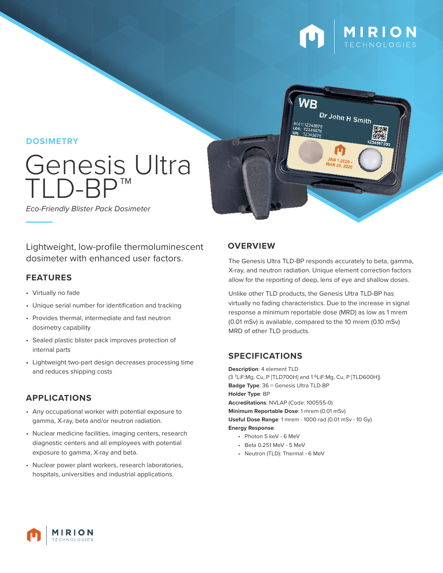



**DOSIMETRY**

# Genesis Ultra  $\bigcap$ -F

*Eco-Friendly Blister Pack Dosimeter*

Lightweight, low-profile thermoluminescent dosimeter with enhanced user factors.

#### **FEATURES**

- Virtually no fade
- Unique serial number for identification and tracking
- Provides thermal, intermediate and fast neutron dosimetry capability
- Sealed plastic blister pack improves protection of internal parts
- Lightweight two-part design decreases processing time and reduces shipping costs

# **APPLICATIONS**

- Any occupational worker with potential exposure to gamma, X-ray, beta and/or neutron radiation.
- Nuclear medicine facilities, imaging centers, research diagnostic centers and all employees with potential exposure to gamma, X-ray and beta.
- Nuclear power plant workers, research laboratories, hospitals, universities and industrial applications.

## **OVERVIEW**

The Genesis Ultra TLD-BP responds accurately to beta, gamma, X-ray, and neutron radiation. Unique element correction factors allow for the reporting of deep, lens of eye and shallow doses.

Unlike other TLD products, the Genesis Ultra TLD-BP has virtually no fading characteristics. Due to the increase in signal response a minimum reportable dose (MRD) as low as 1 mrem (0.01 mSv) is available, compared to the 10 mrem (0.10 mSv) MRD of other TLD products.

# **SPECIFICATIONS**

**Description**: 4 element TLD (3 7LiF:Mg, Cu, P [TLD700H] and 1 6LiF:Mg, Cu, P [TLD600H]) **Badge Type**: 36 = Genesis Ultra TLD-BP **Holder Type**: BP **Accreditations**: NVLAP (Code: 100555-0) **Minimum Reportable Dose**: 1 mrem (0.01 mSv) **Useful Dose Range**: 1 mrem - 1000 rad (0.01 mSv - 10 Gy) **Energy Response**:

- Photon 5 keV 6 MeV
- Beta 0.251 MeV 5 MeV
- Neutron (TLD): Thermal 6 MeV